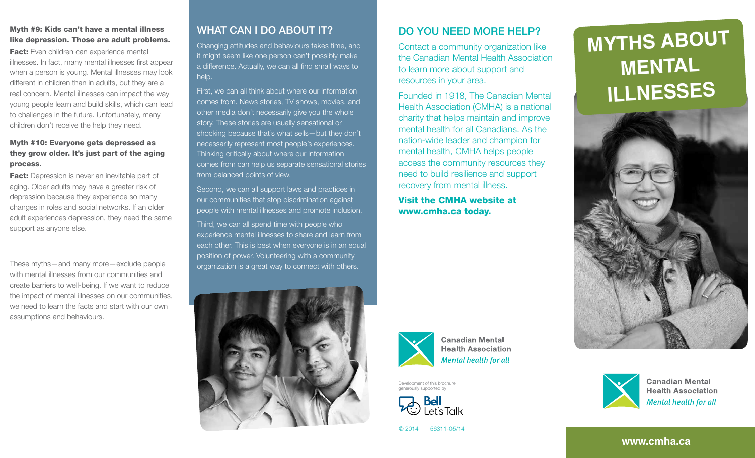# Myth #9: Kids can't have a mental illness like depression. Those are adult problems.

**Fact:** Even children can experience mental illnesses. In fact, many mental illnesses first appear when a person is young. Mental illnesses may look different in children than in adults, but they are a real concern. Mental illnesses can impact the way young people learn and build skills, which can lead to challenges in the future. Unfortunately, many children don't receive the help they need.

# Myth #10: Everyone gets depressed as they grow older. It's just part of the aging process.

**Fact:** Depression is never an inevitable part of aging. Older adults may have a greater risk of depression because they experience so many changes in roles and social networks. If an older adult experiences depression, they need the same support as anyone else.

These myths—and many more—exclude people with mental illnesses from our communities and create barriers to well-being. If we want to reduce the impact of mental illnesses on our communities, we need to learn the facts and start with our own assumptions and behaviours.

# WHAT CAN I DO ABOUT IT?

Changing attitudes and behaviours takes time, and it might seem like one person can't possibly make a difference. Actually, we can all find small ways to help.

First, we can all think about where our information comes from. News stories, TV shows, movies, and other media don't necessarily give you the whole story. These stories are usually sensational or shocking because that's what sells—but they don't necessarily represent most people's experiences. Thinking critically about where our information comes from can help us separate sensational stories from balanced points of view.

Second, we can all support laws and practices in our communities that stop discrimination against people with mental illnesses and promote inclusion.

Third, we can all spend time with people who experience mental illnesses to share and learn from each other. This is best when everyone is in an equal position of power. Volunteering with a community organization is a great way to connect with others.

# Do you need more help?

Contact a community organization like the Canadian Mental Health Association to learn more about support and resources in your area.

Founded in 1918, The Canadian Mental Health Association (CMHA) is a national charity that helps maintain and improve mental health for all Canadians. As the nation-wide leader and champion for mental health, CMHA helps people access the community resources they need to build resilience and support recovery from mental illness.

Visit the CMHA website at www.cmha.ca today.







**Canadian Mental Health Association** Mental health for all





Development of this brochure generously supported by



© 2014 56311-05/14